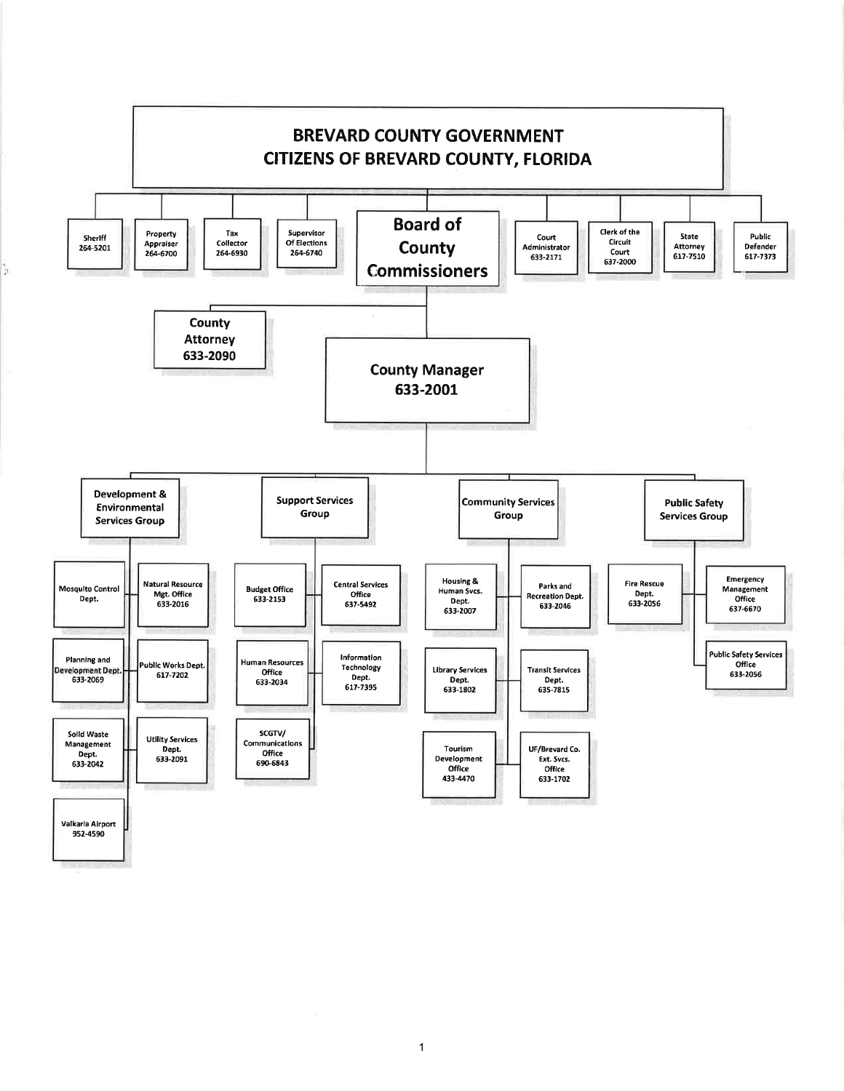

1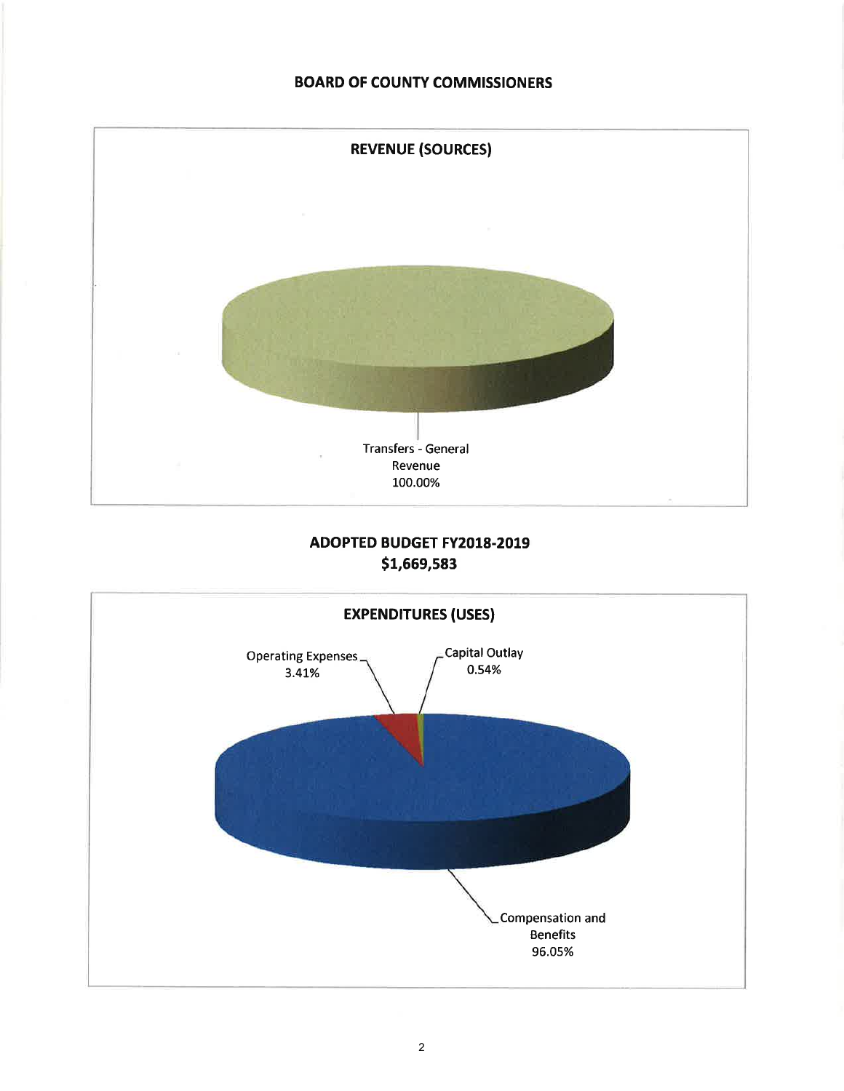### BOARD OF COUNTY COMMISSIONERS



# ADOPTED BUDGET FY2018.2019 s1,669,593

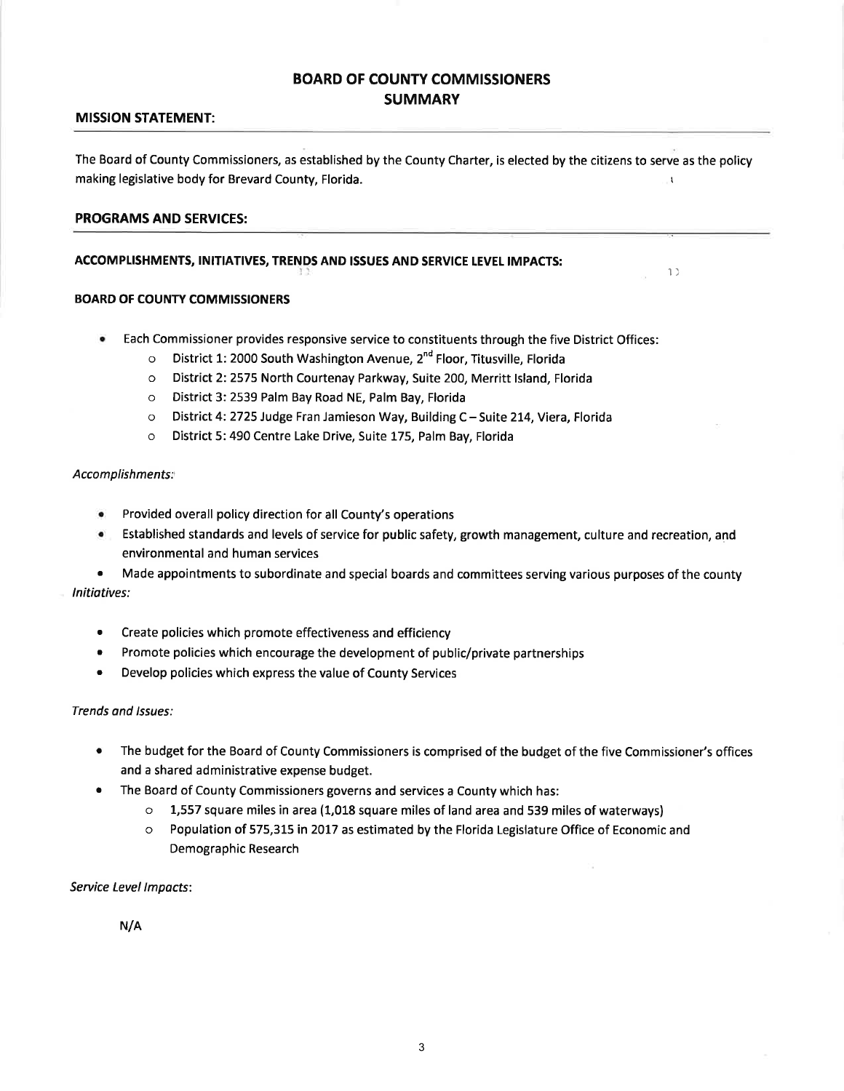## BOARD OF COUNTY COMMISSIONERS **SUMMARY**

### MISSION STATEMENT:

The Board of County Commissioners, as established by the County Charter, is elected by the citizens to serve as the policy making legislative body for Brevard County, Florida. The result of the state of the state of the state of the state of the state of the state of the state of the state of the state of the state of the state of the state of

 $1<sub>2</sub>$ 

### PROGRAMS AND SERVICES:

### ACCOMPLISHMENTS, INITIATIVES, TRENDS AND ISSUES AND SERVICE LEVEL IMPACTS:

#### **BOARD OF COUNTY COMMISSIONERS**

- Each Commissioner provides responsive service to constituents through the five District Offices:
	- o District 1: 2000 South Washington Avenue,  $2^{nd}$  Floor, Titusville, Florida
	- o District 2:2575 North Courtenay Parkway, Suite 200, Merritt lsland, Florida
	- o District 3: 2539 Palm Bay Road NE, Palm Bay, Florida
	- o District 4:2725 Judge Fran Jamieson Way, Building C-Suite 2L4,Yiera, Florida
	- o District 5:490 Centre Lake Drive, Suite 175, Palm Bay, Florida

#### Accomplishments:

- **•** Provided overall policy direction for all County's operations
- . Established standards and levels of service for public safety, growth management, culture and recreation, and environmental and human services

• Made appointments to subordinate and special boards and committees serving various purposes of the county Initiatives:

- . Create policies which promote effectiveness and efficiency
- Promote policies which encourage the development of public/private partnerships
- Develop policies which express the value of County Services

#### Trends and Issues:

- The budget for the Board of County Commissioners is comprised of the budget of the five Commissioner's offices and a shared administrative expense budget. a
- The Board of County Commissioners governs and services a County which has: a
	- o 1,557 square miles in area (1,018 square miles of land area and 539 miles of waterways)
	- o Population of 575,315 in 2017 as estimated by the Florida Legislature Office of Economic and Demographic Research

Service Level Impacts:

N/A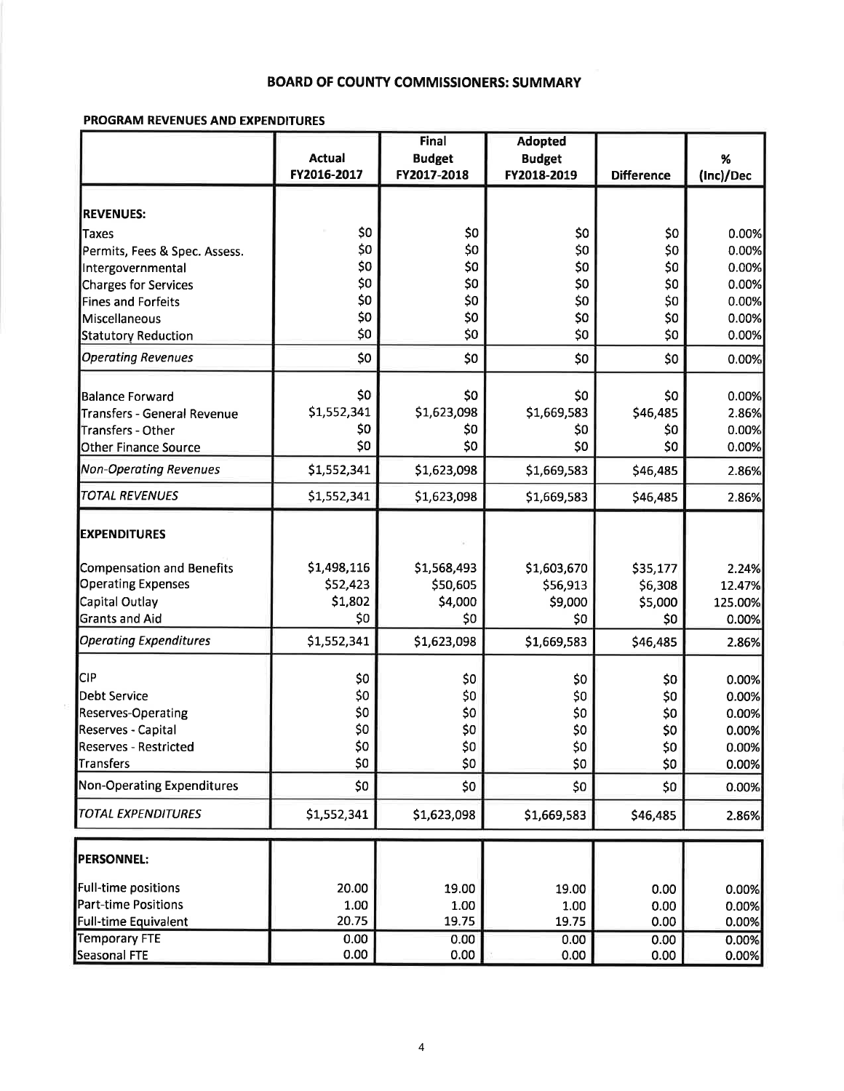### **BOARD OF COUNTY COMMISSIONERS: SUMMARY**

## PROGRAM REVENUES AND EXPENDITURES

|                                                  | <b>Final</b>  |                        | <b>Adopted</b>         |                   |                 |
|--------------------------------------------------|---------------|------------------------|------------------------|-------------------|-----------------|
|                                                  | <b>Actual</b> | <b>Budget</b>          | <b>Budget</b>          |                   | %               |
|                                                  | FY2016-2017   | FY2017-2018            | FY2018-2019            | <b>Difference</b> | (Inc)/Dec       |
| <b>REVENUES:</b>                                 |               |                        |                        |                   |                 |
| Taxes                                            | \$0           | \$0                    | \$0                    | \$0               | 0.00%           |
|                                                  | \$0           | \$0                    | \$0                    | \$0               | 0.00%           |
| Permits, Fees & Spec. Assess.                    | \$0           | \$0                    | \$0                    | \$0               | 0.00%           |
| Intergovernmental<br>Charges for Services        | \$0           | \$0                    | \$0                    | \$0               | 0.00%           |
| <b>Fines and Forfeits</b>                        | \$0           | \$0                    | \$0                    | \$0               | 0.00%           |
| Miscellaneous                                    | \$0           | \$0                    | \$0                    | \$0               | 0.00%           |
| <b>Statutory Reduction</b>                       | \$0           | \$0                    | \$0                    | \$0               | 0.00%           |
| <b>Operating Revenues</b>                        | \$0           | \$0                    | \$0                    | \$0               | 0.00%           |
|                                                  |               |                        |                        |                   |                 |
| <b>Balance Forward</b>                           | \$0           | \$0                    | \$0                    | \$0               | 0.00%           |
| <b>Transfers - General Revenue</b>               | \$1,552,341   | \$1,623,098            | \$1,669,583            | \$46,485          | 2.86%           |
| <b>Transfers - Other</b>                         | \$0           | \$0                    | \$0                    | \$0               | 0.00%           |
| <b>Other Finance Source</b>                      | \$0           | \$0                    | \$0                    | \$0               | 0.00%           |
| <b>Non-Operating Revenues</b>                    | \$1,552,341   | \$1,623,098            | \$1,669,583            | \$46,485          | 2.86%           |
| <b>TOTAL REVENUES</b>                            | \$1,552,341   | \$1,623,098            | \$1,669,583            | \$46,485          | 2.86%           |
| <b>EXPENDITURES</b>                              |               |                        |                        |                   |                 |
| Compensation and Benefits                        | \$1,498,116   | \$1,568,493            | \$1,603,670            | \$35,177          | 2.24%           |
| <b>Operating Expenses</b>                        | \$52,423      | \$50,605               | \$56,913               | \$6,308           | 12.47%          |
| Capital Outlay                                   | \$1,802       | \$4,000                | \$9,000                | \$5,000           | 125.00%         |
| <b>Grants and Aid</b>                            | \$0           | \$0                    | \$0                    | \$0               | 0.00%           |
| <b>Operating Expenditures</b>                    | \$1,552,341   | \$1,623,098            | \$1,669,583            | \$46,485          | 2.86%           |
| <b>CIP</b>                                       | \$0           |                        |                        |                   |                 |
|                                                  |               | \$0                    | \$0                    | \$0               | 0.00%           |
| <b>Debt Service</b>                              | \$0<br>\$0    | \$0                    | \$0                    | \$0               | 0.00%           |
| <b>Reserves-Operating</b>                        | \$0           | \$0                    | \$0                    | \$0               | 0.00%           |
| Reserves - Capital                               |               | \$0<br>50 <sub>2</sub> | \$0<br>50 <sup>1</sup> | \$0               | 0.00%<br>n nn%l |
| <b>Reserves - Restricted</b><br><b>Transfers</b> | \$0<br>\$0    | \$0                    | \$0                    | \$0<br>\$0        |                 |
| <b>Non-Operating Expenditures</b>                | \$0           | \$0                    | \$0                    | \$0               | 0.00%<br>0.00%  |
| <b>TOTAL EXPENDITURES</b>                        | \$1,552,341   | \$1,623,098            | \$1,669,583            |                   |                 |
|                                                  |               |                        |                        | \$46,485          | 2.86%           |
| <b>PERSONNEL:</b>                                |               |                        |                        |                   |                 |
| Full-time positions                              | 20.00         | 19.00                  | 19.00                  | 0.00              | 0.00%           |
| <b>Part-time Positions</b>                       | 1.00          | 1.00                   | 1.00                   | 0.00              | 0.00%           |
| <b>Full-time Equivalent</b>                      | 20.75         | 19.75                  | 19.75                  | 0.00              | 0.00%           |
| <b>Temporary FTE</b>                             | 0.00          | 0.00                   | 0.00                   | 0.00              | 0.00%           |
| Seasonal FTE                                     | 0.00          | 0.00                   | 0.00                   | 0.00              | 0.00%           |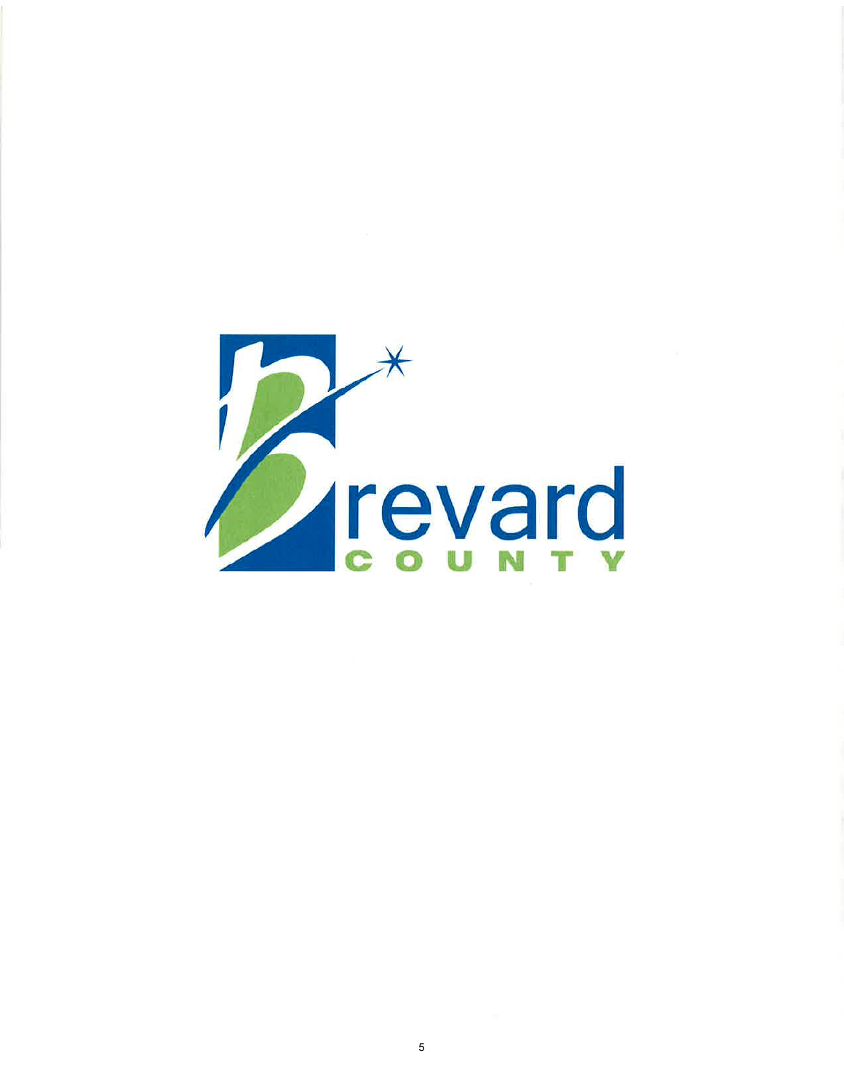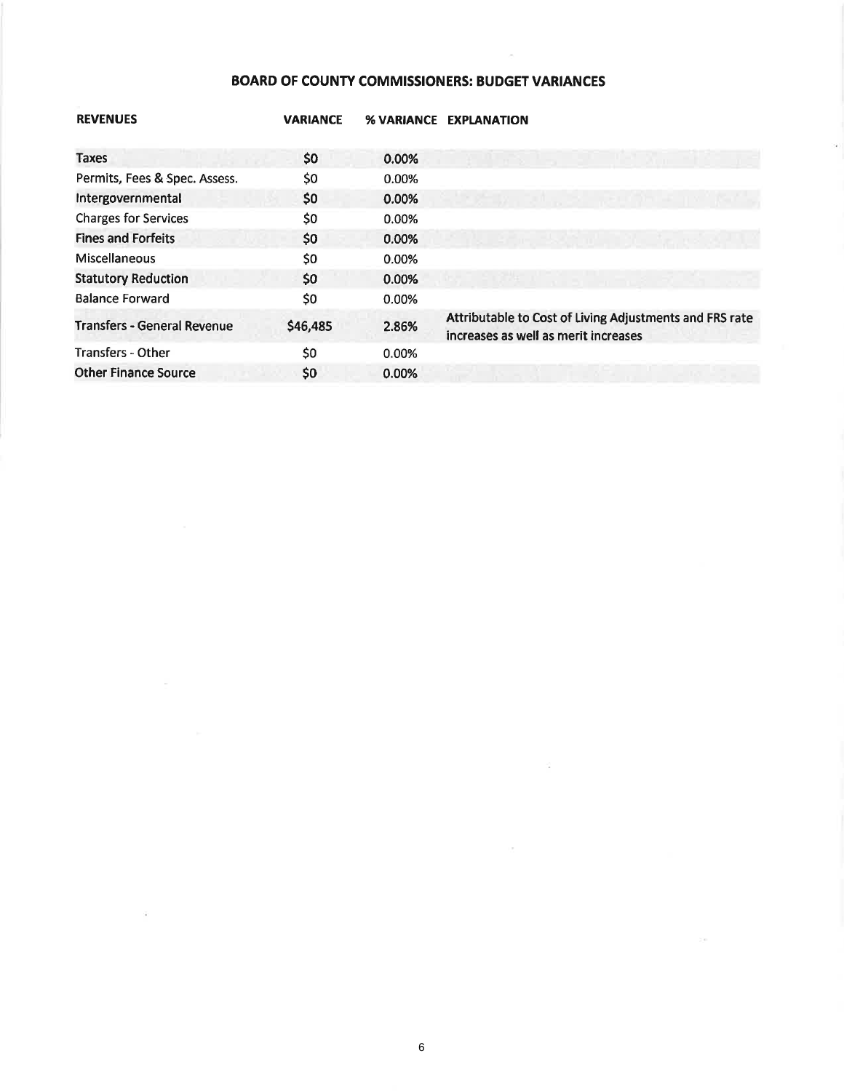# **BOARD OF COUNTY COMMISSIONERS: BUDGET VARIANCES**

| <b>REVENUES</b>                    | <b>VARIANCE</b> | <b>% VARIANCE</b> | <b>EXPLANATION</b>                                                                              |
|------------------------------------|-----------------|-------------------|-------------------------------------------------------------------------------------------------|
| Taxes                              | $50^{\circ}$    | 0.00%             |                                                                                                 |
| Permits, Fees & Spec. Assess.      | \$0             | 0.00%             |                                                                                                 |
| Intergovernmental                  | \$0             | 0.00%             |                                                                                                 |
| <b>Charges for Services</b>        | \$0             | 0.00%             |                                                                                                 |
| <b>Fines and Forfeits</b>          | \$0             | 0.00%             |                                                                                                 |
| <b>Miscellaneous</b>               | \$0             | 0.00%             |                                                                                                 |
| <b>Statutory Reduction</b>         | \$0             | 0.00%             |                                                                                                 |
| <b>Balance Forward</b>             | \$0             | 0.00%             |                                                                                                 |
| <b>Transfers - General Revenue</b> | \$46,485        | 2.86%             | Attributable to Cost of Living Adjustments and FRS rate<br>increases as well as merit increases |
| <b>Transfers - Other</b>           | \$0             | 0.00%             |                                                                                                 |
| <b>Other Finance Source</b>        | \$0             | 0.00%             |                                                                                                 |
|                                    |                 |                   |                                                                                                 |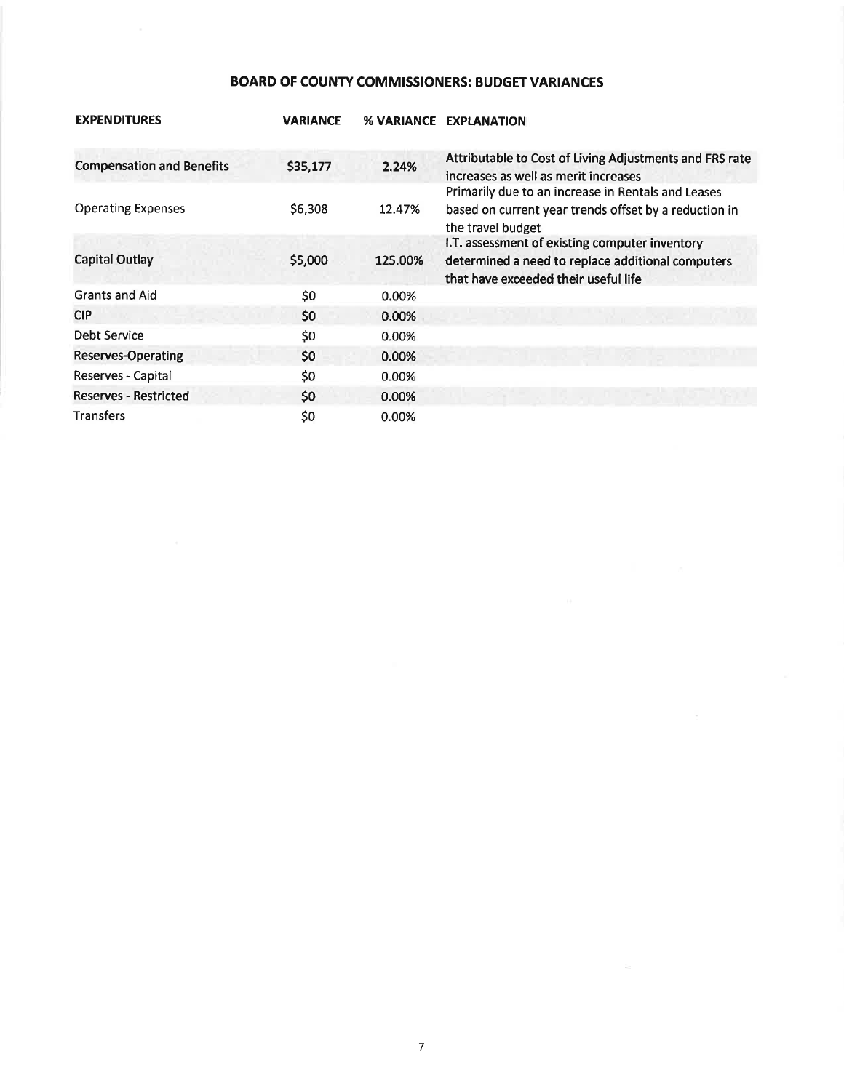# BOARD OF COUNTY COMMISSIONERS: BUDGET VARIANCES

| <b>EXPENDITURES</b>              | <b>VARIANCE</b> | <b>% VARIANCE</b> | <b>EXPLANATION</b>                                                                                                                          |
|----------------------------------|-----------------|-------------------|---------------------------------------------------------------------------------------------------------------------------------------------|
| <b>Compensation and Benefits</b> | \$35,177        | 2.24%             | Attributable to Cost of Living Adjustments and FRS rate<br>increases as well as merit increases                                             |
| <b>Operating Expenses</b>        | \$6,308         | 12.47%            | Primarily due to an increase in Rentals and Leases<br>based on current year trends offset by a reduction in<br>the travel budget            |
| <b>Capital Outlay</b>            | \$5,000         | 125.00%           | I.T. assessment of existing computer inventory<br>determined a need to replace additional computers<br>that have exceeded their useful life |
| <b>Grants and Aid</b>            | \$0             | 0.00%             |                                                                                                                                             |
| <b>CIP</b>                       | \$0             | 0.00%             |                                                                                                                                             |
| Debt Service                     | \$0             | 0.00%             |                                                                                                                                             |
| Reserves-Operating               | \$0             | 0.00%             |                                                                                                                                             |
| Reserves - Capital               | \$0             | 0.00%             |                                                                                                                                             |
| <b>Reserves - Restricted</b>     | \$0             | 0.00%             |                                                                                                                                             |
| <b>Transfers</b>                 | \$0             | 0.00%             |                                                                                                                                             |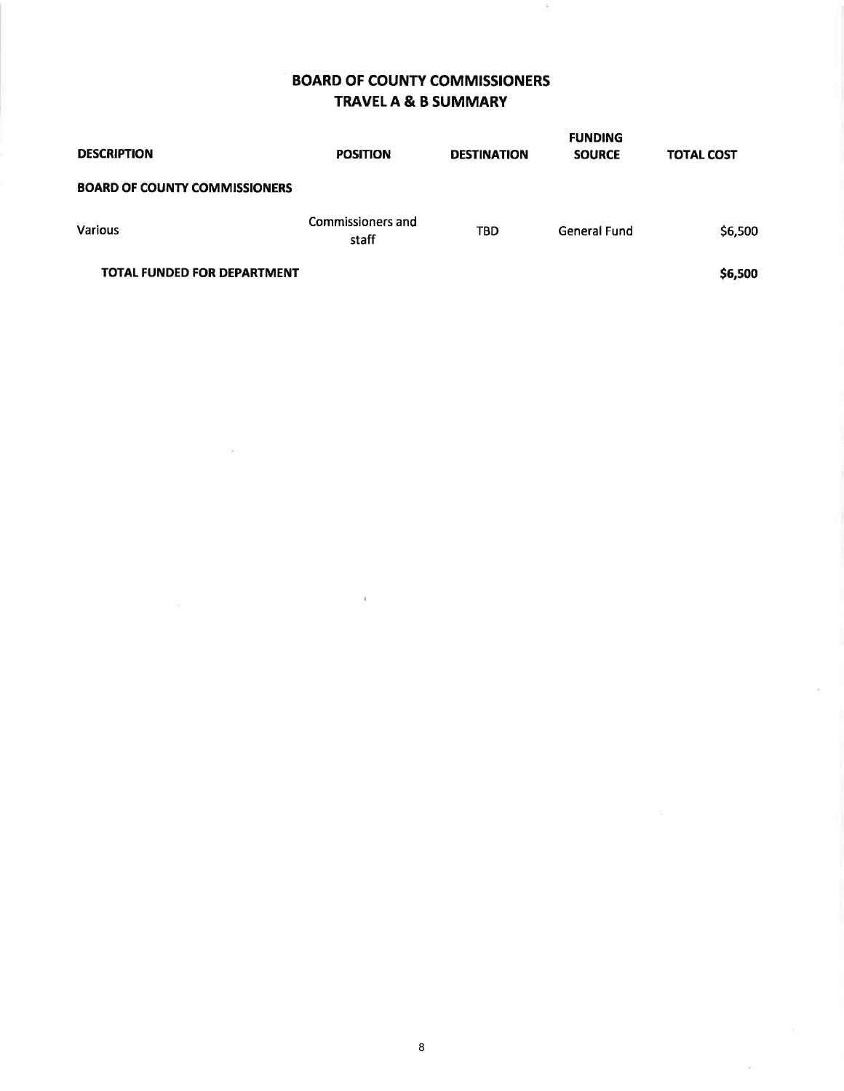# BOARD OF COUNTY COMMISSIONERS TRAVELA & B SUMMARY

Ÿ.

| <b>DESCRIPTION</b>                   | <b>POSITION</b>            | <b>DESTINATION</b> | <b>FUNDING</b><br><b>SOURCE</b> | <b>TOTAL COST</b> |
|--------------------------------------|----------------------------|--------------------|---------------------------------|-------------------|
| <b>BOARD OF COUNTY COMMISSIONERS</b> |                            |                    |                                 |                   |
| <b>Various</b>                       | Commissioners and<br>staff | <b>TBD</b>         | General Fund                    | \$6,500           |
| <b>TOTAL FUNDED FOR DEPARTMENT</b>   |                            |                    |                                 | \$6,500           |

 $\alpha$ 

 $\sim$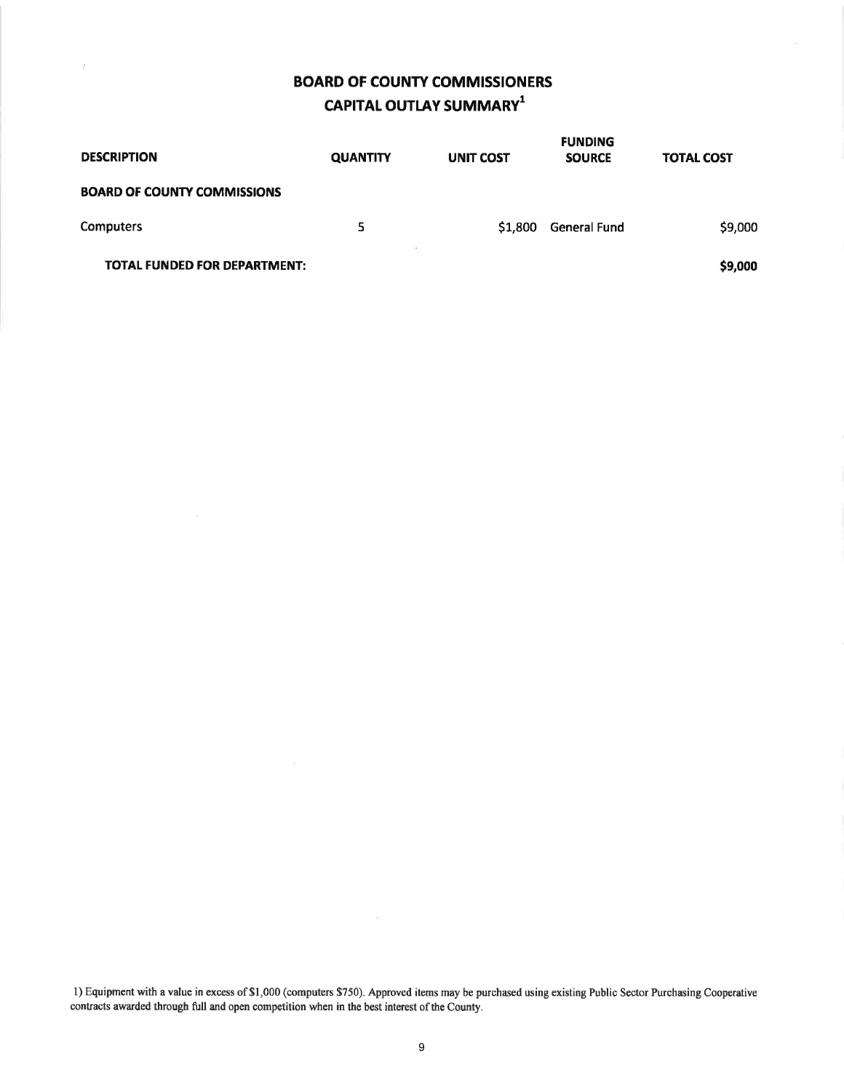# BOARD OF COUNTY COMMISSIONERS CAPITAL OUTLAY SUMMARY $^1$

W.

| <b>DESCRIPTION</b>                  | <b>QUANTITY</b> | <b>UNIT COST</b> | <b>SOURCE</b> | <b>TOTAL COST</b> |
|-------------------------------------|-----------------|------------------|---------------|-------------------|
| <b>BOARD OF COUNTY COMMISSIONS</b>  |                 |                  |               |                   |
| <b>Computers</b>                    | 5               | \$1,800          | General Fund  | \$9,000           |
| <b>TOTAL FUNDED FOR DEPARTMENT:</b> |                 |                  |               | \$9,000           |

l) Equipment with a value in excess of\$1,000 (computers \$750). Approved items may be purchased using existing Public Sector Purchasing Cooperative contracts awarded through full and open competition when in the best interest of the County.